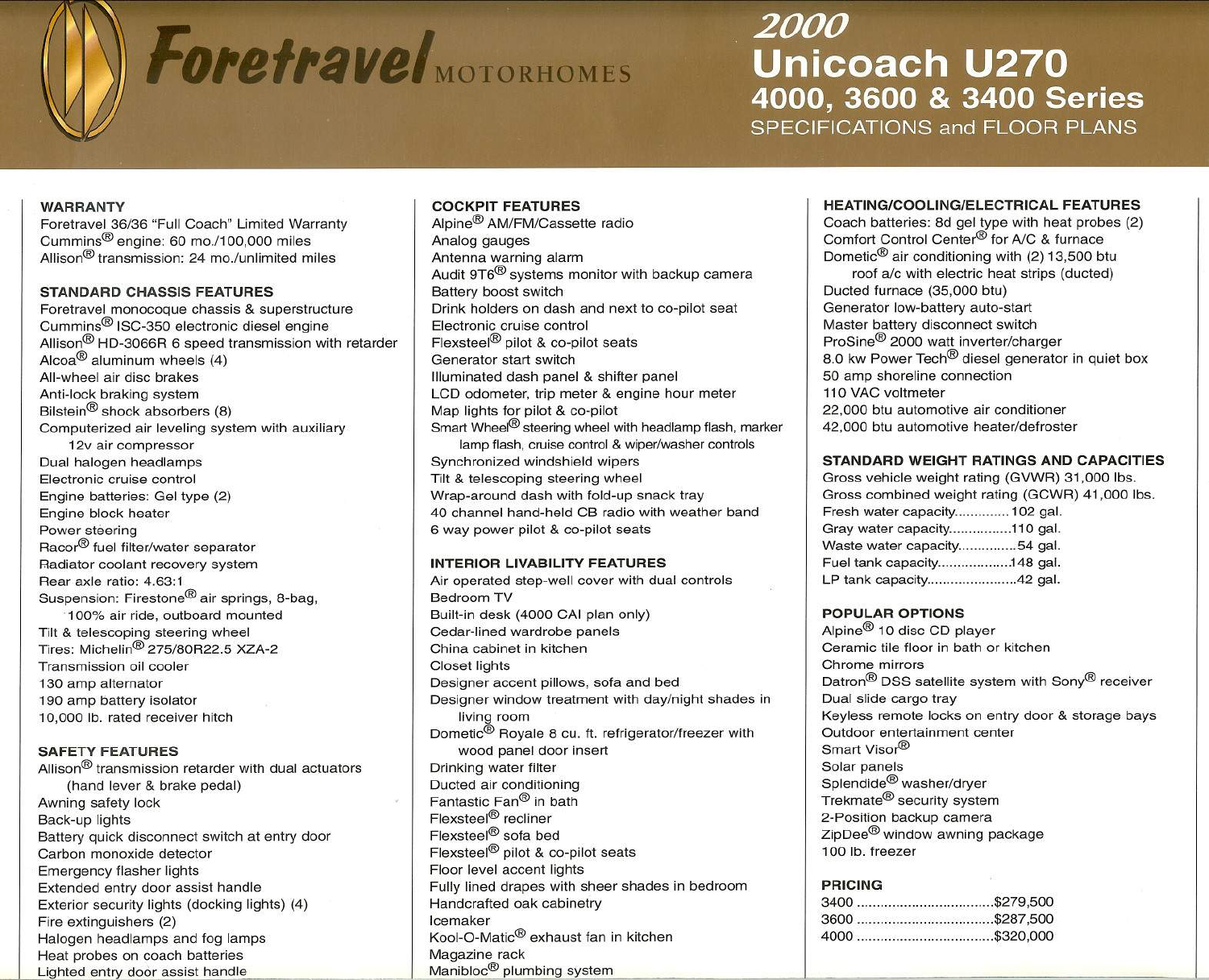# **Foretravel**MOTORHOMES

# *2000* **Unicoach U270** 4000, 3600 & 3400 Series

SPECIFICATIONS and FLOOR PLANS

### **WARRANTY**

Foretravel 36/36 "Full Coach" Limited Warranty Cummins@ engine: 60 mo./100.000 miles Allison@ transmission: 24 mo./unlimited miles

### **STANDARD CHASSIS FEATURES**

Foretravel monocoque chassis & superstructure Cummins@ ISC-350 electronic diesel engine Allison@ HD-3066R 6 speed transmission with retarder Alcoa $^{\circledR}$  aluminum wheels (4) All-wheel air disc brakes Anti-lock braking system Bilstein@ shock absorbers (8) Computerized air leveling system with auxiliary 12v air compressor Dual halogen headlamps Electronic cruise control Engine batteries: Gel type (2) Engine block heater Power steering Racor® fuel filter/water separator Radiator coolant recovery system Rear axle ratio: 4.63:1 Suspension: Firestone<sup>®</sup> air springs, 8-bag. . 100% air ride, outboard mounted Tilt & telescoping steering wheel Tires: Michelin@ 275/80R22.5 XZA-2 Transmission oil cooler 130 amp alternator 190 amp battery isolator 10,000 lb. rated receiver hitch

## **SAFETY FEATURES**

Allison<sup>®</sup> transmission retarder with dual actuators (hand lever & brake pedal) Awning safety lock Back-up lights Battery quick disconnect switch at entry door Carbon monoxide detector Emergency flasher lights Extended entry door assist handle Exterior security lights (docking lights) (4) Fire extinguishers (2) Halogen headlamps and fog lamps Heat probes on coach batteries Lighted entry door assist handle

# **COCKPIT FEATURES**

Alpine@ AM/FM/Cassette radio Analog gauges Antenna warning alarm Audit 9T6@ systems monitor with backup camera Battery boost switch Drink holders on dash and next to co-pilot seat Electronic cruise control Flexsteel<sup>®</sup> pilot & co-pilot seats Generator start switch Illuminated dash panel & shifter panel LCD odometer. trip meter & engine hour meter Map lights for pilot & co-pilot Smart Wheel $^{\circledR}$  steering wheel with headlamp flash, marker lamp flash, cruise control & wiper/washer controls Synchronized windshield wipers Tilt & telescoping steering wheel Wrap-around dash with fold-up snack tray 40 channel hand-held CB radio with weather band 6 way power pilot & co-pilot seats

### **INTERIOR LIVABILITY FEATURES**

Air operated step-well cover with dual controls Bedroom TV Built-in desk (4000 CAI plan only) Cedar-lined wardrobe panels China cabinet in kitchen Closet lights Designer accent pillows. sofa and bed Designer window treatment with day/night shades in living room Dometic<sup>®</sup> Royale 8 cu. ft. refrigerator/freezer with wood panel door insert Drinking water filter Ducted air conditioning Fantastic Fan@ in bath Flexsteel<sup>®</sup> recliner Flexsteel@ sofa bed Flexsteel@ pilot & co-pilot seats Floor level accent lights Fully lined drapes with sheer shades in bedroom Handcrafted oak cabinetry Icemaker Kool-O-Matic@ exhaust fan in kitchen Magazine rack  $M$ anibloc $^{\circledR}$  plumbing system

### **HEATING/COOLING/ELECTRICALFEATURES**

Coach batteries: 8d gel type with heat probes (2) Comfort Control Center® for A/C & furnace Dometic@ air conditioning with (2) 13.500 btu roof *ale* with electric heat strips (ducted) Ducted furnace (35,000 btu) Generator low-battery auto-start Master battery disconnect switch ProSine@ 2000 watt inverter/charger 8.0 kw Power Tech<sup>®</sup> diesel generator in quiet box 50 amp shoreline connection 110 VAC voltmeter 22,000 btu automotive air conditioner 42,000 btu automotive heater/defroster

### **STANDARD WEIGHT RATINGS AND CAPACITIES**

Gross vehicle weight rating (GVWR) 31.000 Ibs. Gross combined weight rating (GCWR) 41.000 Ibs. Fresh water capacity.............. 102 gal. Gray water capacity................110 gal. Waste water capacity...............54 gal. Fuel tank capacity....................148 gal. LP tank capacity...........................42 gal.

### **POPULAR OPTIONS**

Alpine@ 10 disc CD player Ceramic tile floor in bath or kitchen Chrome mirrors Datron<sup>®</sup> DSS satellite system with Sony<sup>®</sup> receiver Dual slide cargo tray Keyless remote locks on entry door & storage bays Outdoor entertainment center Smart Visor® Solar panels Splendide@ washer/dryer Trekmate@ security system 2-Position backup camera ZipDee<sup>®</sup> window awning package 100 lb. freezer

### **PRICING**